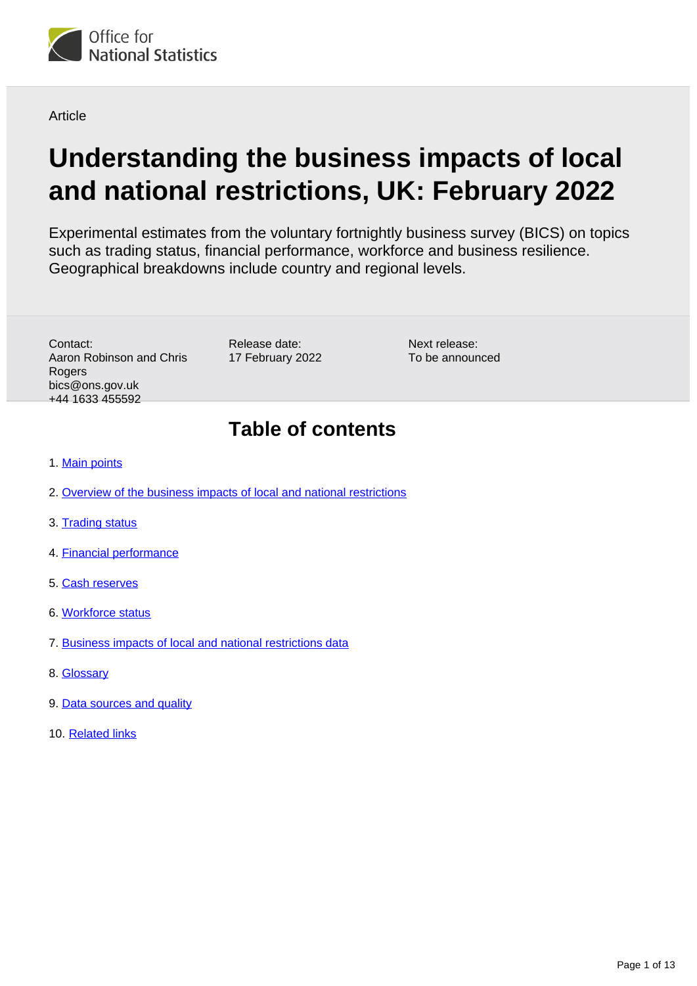

**Article** 

# **Understanding the business impacts of local and national restrictions, UK: February 2022**

Experimental estimates from the voluntary fortnightly business survey (BICS) on topics such as trading status, financial performance, workforce and business resilience. Geographical breakdowns include country and regional levels.

Contact: Aaron Robinson and Chris Rogers bics@ons.gov.uk +44 1633 455592

Release date: 17 February 2022

Next release: To be announced

## **Table of contents**

- 1. [Main points](#page-1-0)
- 2. [Overview of the business impacts of local and national restrictions](#page-1-1)
- 3. [Trading status](#page-2-0)
- 4. [Financial performance](#page-4-0)
- 5. [Cash reserves](#page-6-0)
- 6. [Workforce status](#page-9-0)
- 7. [Business impacts of local and national restrictions data](#page-10-0)
- 8. [Glossary](#page-10-1)
- 9. [Data sources and quality](#page-11-0)
- 10. [Related links](#page-12-0)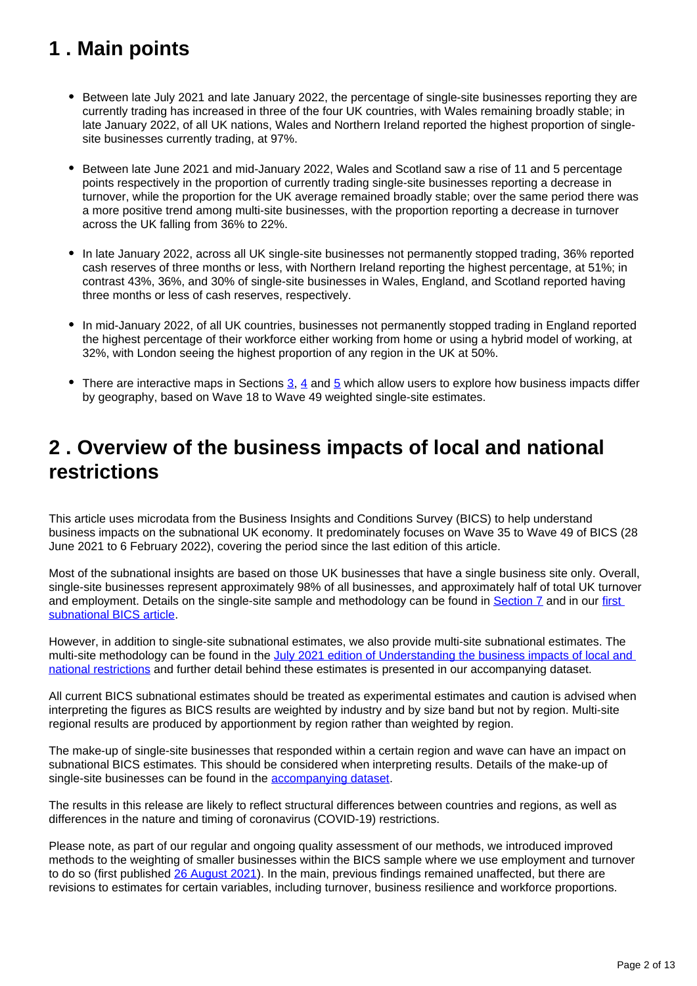## <span id="page-1-0"></span>**1 . Main points**

- Between late July 2021 and late January 2022, the percentage of single-site businesses reporting they are currently trading has increased in three of the four UK countries, with Wales remaining broadly stable; in late January 2022, of all UK nations, Wales and Northern Ireland reported the highest proportion of singlesite businesses currently trading, at 97%.
- Between late June 2021 and mid-January 2022, Wales and Scotland saw a rise of 11 and 5 percentage points respectively in the proportion of currently trading single-site businesses reporting a decrease in turnover, while the proportion for the UK average remained broadly stable; over the same period there was a more positive trend among multi-site businesses, with the proportion reporting a decrease in turnover across the UK falling from 36% to 22%.
- In late January 2022, across all UK single-site businesses not permanently stopped trading, 36% reported cash reserves of three months or less, with Northern Ireland reporting the highest percentage, at 51%; in contrast 43%, 36%, and 30% of single-site businesses in Wales, England, and Scotland reported having three months or less of cash reserves, respectively.
- In mid-January 2022, of all UK countries, businesses not permanently stopped trading in England reported the highest percentage of their workforce either working from home or using a hybrid model of working, at 32%, with London seeing the highest proportion of any region in the UK at 50%.
- There are interactive maps in Sections  $\underline{3}$  $\underline{3}$  $\underline{3}$ ,  $\underline{4}$  and  $\underline{5}$  which allow users to explore how business impacts differ by geography, based on Wave 18 to Wave 49 weighted single-site estimates.

## <span id="page-1-1"></span>**2 . Overview of the business impacts of local and national restrictions**

This article uses microdata from the Business Insights and Conditions Survey (BICS) to help understand business impacts on the subnational UK economy. It predominately focuses on Wave 35 to Wave 49 of BICS (28 June 2021 to 6 February 2022), covering the period since the last edition of this article.

Most of the subnational insights are based on those UK businesses that have a single business site only. Overall, single-site businesses represent approximately 98% of all businesses, and approximately half of total UK turnover and employment. Details on the single-site sample and methodology can be found in [Section 7](https://www.ons.gov.uk/businessindustryandtrade/business/businessservices/articles/businessinsightsandimpactontheukandsubnationaleconomy/february2022#business-impacts-of-local-and-national-restrictions-data) and in our first [subnational BICS article.](https://www.ons.gov.uk/businessindustryandtrade/business/businessservices/articles/businessinsightsandimpactontheukandsubnationaleconomy/2020-12-09)

However, in addition to single-site subnational estimates, we also provide multi-site subnational estimates. The multi-site methodology can be found in the July 2021 edition of Understanding the business impacts of local and [national restrictions](https://www.ons.gov.uk/businessindustryandtrade/business/businessservices/articles/businessinsightsandimpactontheukandsubnationaleconomy/july2021) and further detail behind these estimates is presented in our accompanying dataset.

All current BICS subnational estimates should be treated as experimental estimates and caution is advised when interpreting the figures as BICS results are weighted by industry and by size band but not by region. Multi-site regional results are produced by apportionment by region rather than weighted by region.

The make-up of single-site businesses that responded within a certain region and wave can have an impact on subnational BICS estimates. This should be considered when interpreting results. Details of the make-up of single-site businesses can be found in the [accompanying dataset.](https://www.ons.gov.uk/economy/economicoutputandproductivity/output/datasets/businessinsightsandimpactonthesubnationalukeconomy)

The results in this release are likely to reflect structural differences between countries and regions, as well as differences in the nature and timing of coronavirus (COVID-19) restrictions.

Please note, as part of our regular and ongoing quality assessment of our methods, we introduced improved methods to the weighting of smaller businesses within the BICS sample where we use employment and turnover to do so (first published [26 August 2021\)](https://www.ons.gov.uk/businessindustryandtrade/business/businessservices/bulletins/businessinsightsandimpactontheukeconomy/26august2021). In the main, previous findings remained unaffected, but there are revisions to estimates for certain variables, including turnover, business resilience and workforce proportions.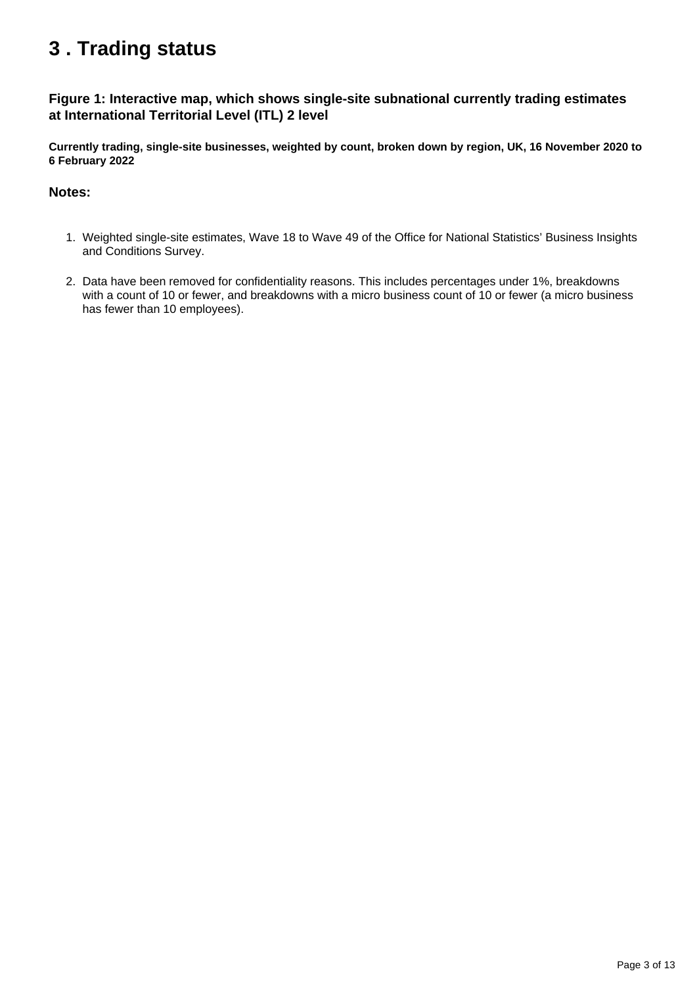## <span id="page-2-0"></span>**3 . Trading status**

## **Figure 1: Interactive map, which shows single-site subnational currently trading estimates at International Territorial Level (ITL) 2 level**

**Currently trading, single-site businesses, weighted by count, broken down by region, UK, 16 November 2020 to 6 February 2022**

### **Notes:**

- 1. Weighted single-site estimates, Wave 18 to Wave 49 of the Office for National Statistics' Business Insights and Conditions Survey.
- 2. Data have been removed for confidentiality reasons. This includes percentages under 1%, breakdowns with a count of 10 or fewer, and breakdowns with a micro business count of 10 or fewer (a micro business has fewer than 10 employees).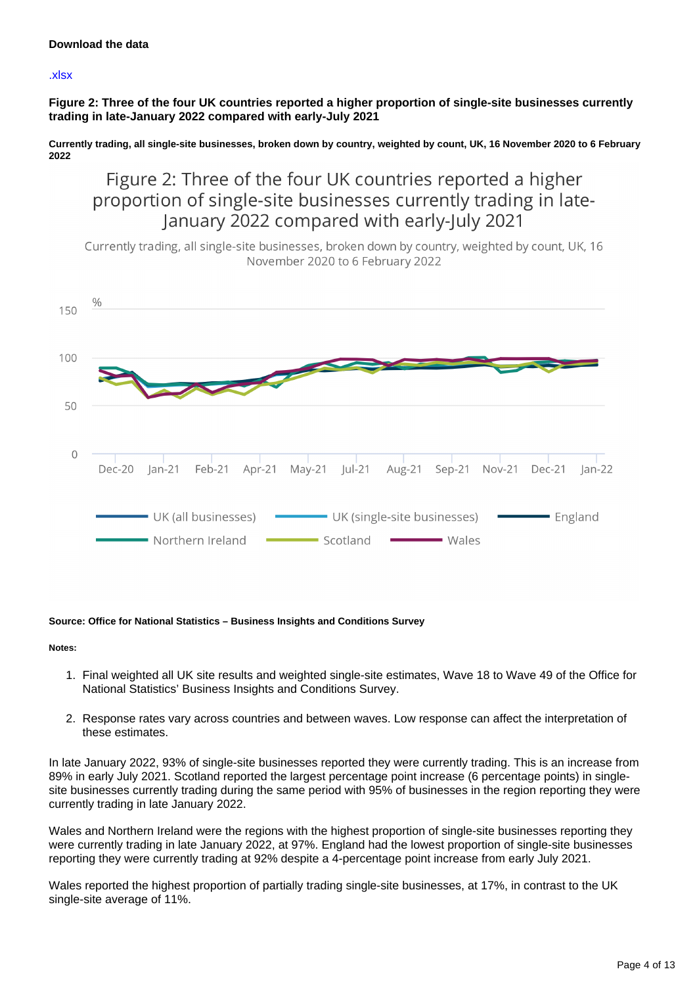### [.xlsx](https://www.ons.gov.uk/visualisations/dvc1812/fig1/datadownload.xlsx)

**Figure 2: Three of the four UK countries reported a higher proportion of single-site businesses currently trading in late-January 2022 compared with early-July 2021**

**Currently trading, all single-site businesses, broken down by country, weighted by count, UK, 16 November 2020 to 6 February 2022**

Figure 2: Three of the four UK countries reported a higher proportion of single-site businesses currently trading in late-January 2022 compared with early-July 2021

Currently trading, all single-site businesses, broken down by country, weighted by count, UK, 16 November 2020 to 6 February 2022



#### **Source: Office for National Statistics – Business Insights and Conditions Survey**

**Notes:**

- 1. Final weighted all UK site results and weighted single-site estimates, Wave 18 to Wave 49 of the Office for National Statistics' Business Insights and Conditions Survey.
- 2. Response rates vary across countries and between waves. Low response can affect the interpretation of these estimates.

In late January 2022, 93% of single-site businesses reported they were currently trading. This is an increase from 89% in early July 2021. Scotland reported the largest percentage point increase (6 percentage points) in singlesite businesses currently trading during the same period with 95% of businesses in the region reporting they were currently trading in late January 2022.

Wales and Northern Ireland were the regions with the highest proportion of single-site businesses reporting they were currently trading in late January 2022, at 97%. England had the lowest proportion of single-site businesses reporting they were currently trading at 92% despite a 4-percentage point increase from early July 2021.

Wales reported the highest proportion of partially trading single-site businesses, at 17%, in contrast to the UK single-site average of 11%.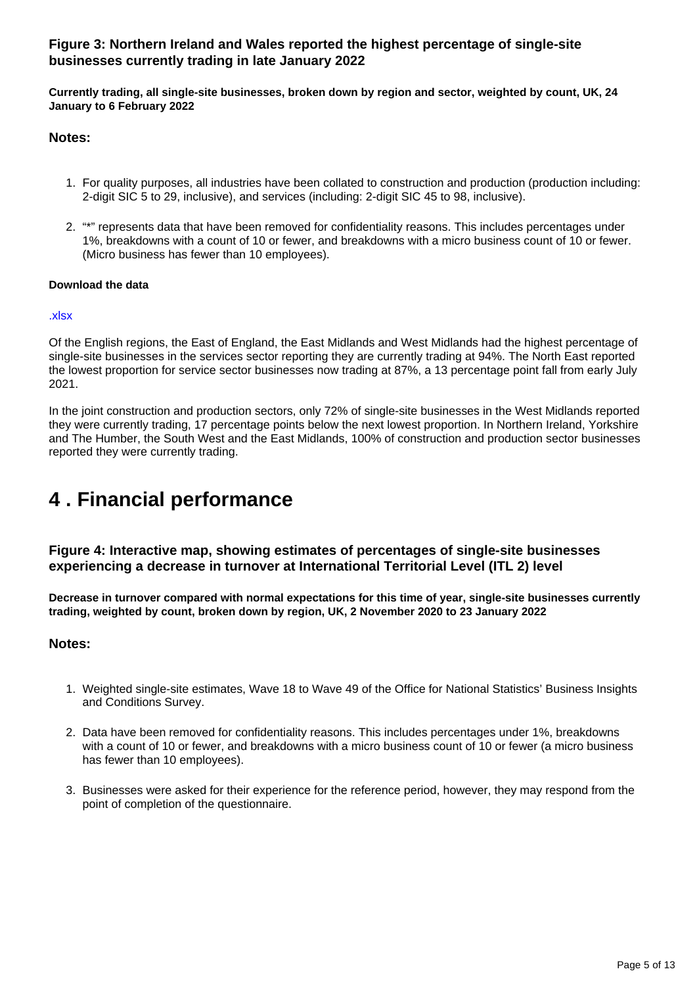## **Figure 3: Northern Ireland and Wales reported the highest percentage of single-site businesses currently trading in late January 2022**

**Currently trading, all single-site businesses, broken down by region and sector, weighted by count, UK, 24 January to 6 February 2022**

## **Notes:**

- 1. For quality purposes, all industries have been collated to construction and production (production including: 2-digit SIC 5 to 29, inclusive), and services (including: 2-digit SIC 45 to 98, inclusive).
- 2. "\*" represents data that have been removed for confidentiality reasons. This includes percentages under 1%, breakdowns with a count of 10 or fewer, and breakdowns with a micro business count of 10 or fewer. (Micro business has fewer than 10 employees).

### **Download the data**

### [.xlsx](https://www.ons.gov.uk/visualisations/dvc1812/fig3/datadownload.xlsx)

Of the English regions, the East of England, the East Midlands and West Midlands had the highest percentage of single-site businesses in the services sector reporting they are currently trading at 94%. The North East reported the lowest proportion for service sector businesses now trading at 87%, a 13 percentage point fall from early July 2021.

In the joint construction and production sectors, only 72% of single-site businesses in the West Midlands reported they were currently trading, 17 percentage points below the next lowest proportion. In Northern Ireland, Yorkshire and The Humber, the South West and the East Midlands, 100% of construction and production sector businesses reported they were currently trading.

## <span id="page-4-0"></span>**4 . Financial performance**

## **Figure 4: Interactive map, showing estimates of percentages of single-site businesses experiencing a decrease in turnover at International Territorial Level (ITL 2) level**

**Decrease in turnover compared with normal expectations for this time of year, single-site businesses currently trading, weighted by count, broken down by region, UK, 2 November 2020 to 23 January 2022**

### **Notes:**

- 1. Weighted single-site estimates, Wave 18 to Wave 49 of the Office for National Statistics' Business Insights and Conditions Survey.
- 2. Data have been removed for confidentiality reasons. This includes percentages under 1%, breakdowns with a count of 10 or fewer, and breakdowns with a micro business count of 10 or fewer (a micro business has fewer than 10 employees).
- 3. Businesses were asked for their experience for the reference period, however, they may respond from the point of completion of the questionnaire.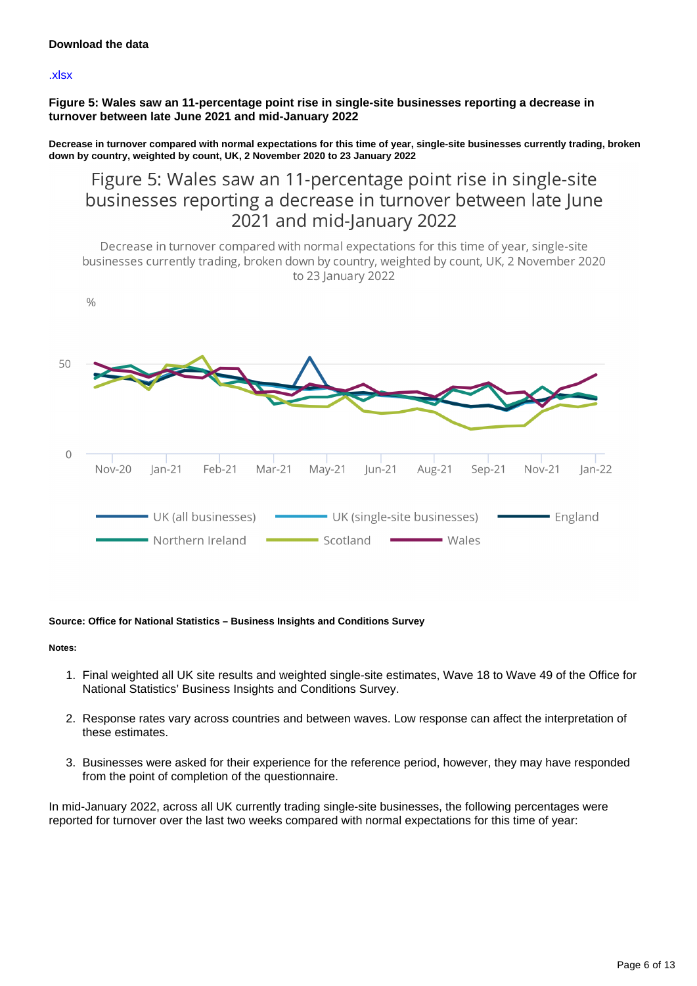#### [.xlsx](https://www.ons.gov.uk/visualisations/dvc1812/fig4/datadownload.xlsx)

**Figure 5: Wales saw an 11-percentage point rise in single-site businesses reporting a decrease in turnover between late June 2021 and mid-January 2022**

**Decrease in turnover compared with normal expectations for this time of year, single-site businesses currently trading, broken down by country, weighted by count, UK, 2 November 2020 to 23 January 2022**

Figure 5: Wales saw an 11-percentage point rise in single-site businesses reporting a decrease in turnover between late June 2021 and mid-January 2022

Decrease in turnover compared with normal expectations for this time of year, single-site businesses currently trading, broken down by country, weighted by count, UK, 2 November 2020 to 23 January 2022



#### **Source: Office for National Statistics – Business Insights and Conditions Survey**

#### **Notes:**

- 1. Final weighted all UK site results and weighted single-site estimates, Wave 18 to Wave 49 of the Office for National Statistics' Business Insights and Conditions Survey.
- 2. Response rates vary across countries and between waves. Low response can affect the interpretation of these estimates.
- 3. Businesses were asked for their experience for the reference period, however, they may have responded from the point of completion of the questionnaire.

In mid-January 2022, across all UK currently trading single-site businesses, the following percentages were reported for turnover over the last two weeks compared with normal expectations for this time of year: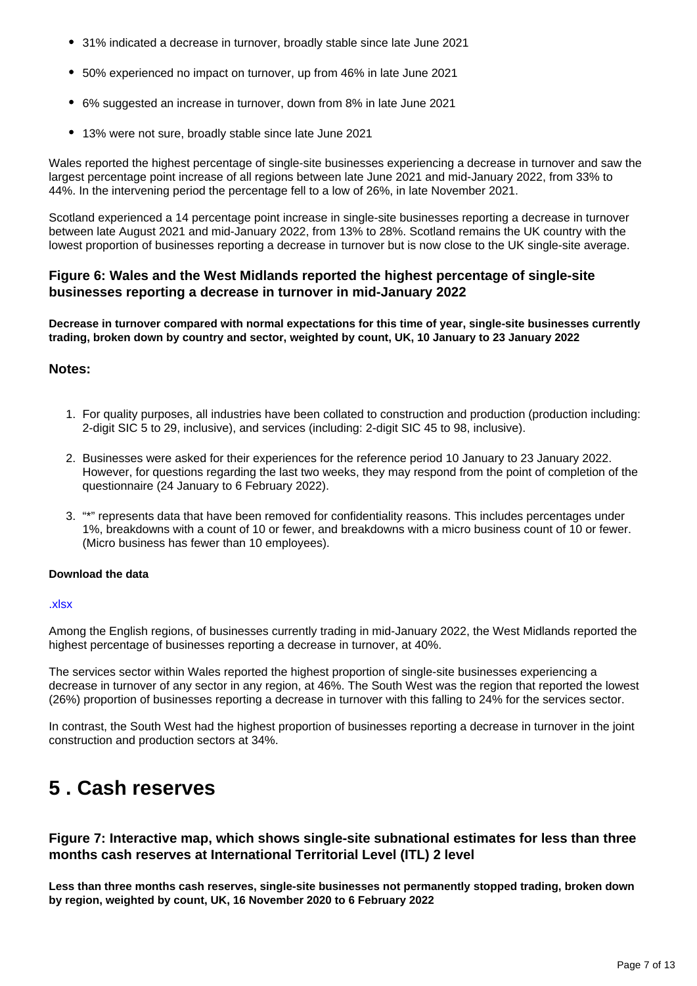- 31% indicated a decrease in turnover, broadly stable since late June 2021
- 50% experienced no impact on turnover, up from 46% in late June 2021
- 6% suggested an increase in turnover, down from 8% in late June 2021
- 13% were not sure, broadly stable since late June 2021

Wales reported the highest percentage of single-site businesses experiencing a decrease in turnover and saw the largest percentage point increase of all regions between late June 2021 and mid-January 2022, from 33% to 44%. In the intervening period the percentage fell to a low of 26%, in late November 2021.

Scotland experienced a 14 percentage point increase in single-site businesses reporting a decrease in turnover between late August 2021 and mid-January 2022, from 13% to 28%. Scotland remains the UK country with the lowest proportion of businesses reporting a decrease in turnover but is now close to the UK single-site average.

## **Figure 6: Wales and the West Midlands reported the highest percentage of single-site businesses reporting a decrease in turnover in mid-January 2022**

**Decrease in turnover compared with normal expectations for this time of year, single-site businesses currently trading, broken down by country and sector, weighted by count, UK, 10 January to 23 January 2022**

### **Notes:**

- 1. For quality purposes, all industries have been collated to construction and production (production including: 2-digit SIC 5 to 29, inclusive), and services (including: 2-digit SIC 45 to 98, inclusive).
- 2. Businesses were asked for their experiences for the reference period 10 January to 23 January 2022. However, for questions regarding the last two weeks, they may respond from the point of completion of the questionnaire (24 January to 6 February 2022).
- 3. "\*" represents data that have been removed for confidentiality reasons. This includes percentages under 1%, breakdowns with a count of 10 or fewer, and breakdowns with a micro business count of 10 or fewer. (Micro business has fewer than 10 employees).

### **Download the data**

### [.xlsx](https://www.ons.gov.uk/visualisations/dvc1812/fig6/datadownload.xlsx)

Among the English regions, of businesses currently trading in mid-January 2022, the West Midlands reported the highest percentage of businesses reporting a decrease in turnover, at 40%.

The services sector within Wales reported the highest proportion of single-site businesses experiencing a decrease in turnover of any sector in any region, at 46%. The South West was the region that reported the lowest (26%) proportion of businesses reporting a decrease in turnover with this falling to 24% for the services sector.

In contrast, the South West had the highest proportion of businesses reporting a decrease in turnover in the joint construction and production sectors at 34%.

## <span id="page-6-0"></span>**5 . Cash reserves**

## **Figure 7: Interactive map, which shows single-site subnational estimates for less than three months cash reserves at International Territorial Level (ITL) 2 level**

**Less than three months cash reserves, single-site businesses not permanently stopped trading, broken down by region, weighted by count, UK, 16 November 2020 to 6 February 2022**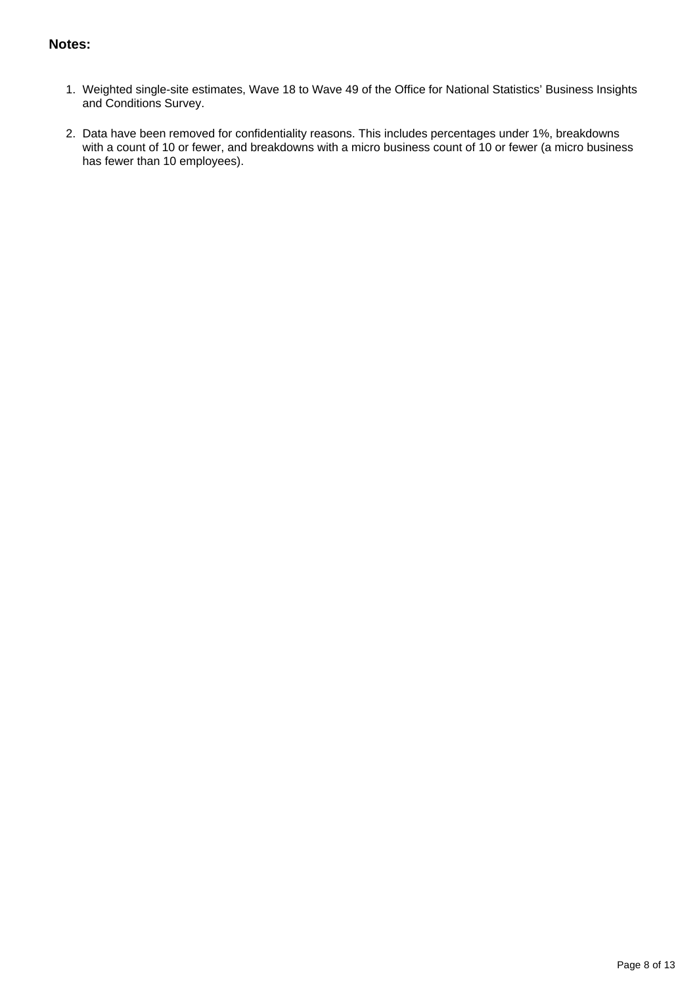## **Notes:**

- 1. Weighted single-site estimates, Wave 18 to Wave 49 of the Office for National Statistics' Business Insights and Conditions Survey.
- 2. Data have been removed for confidentiality reasons. This includes percentages under 1%, breakdowns with a count of 10 or fewer, and breakdowns with a micro business count of 10 or fewer (a micro business has fewer than 10 employees).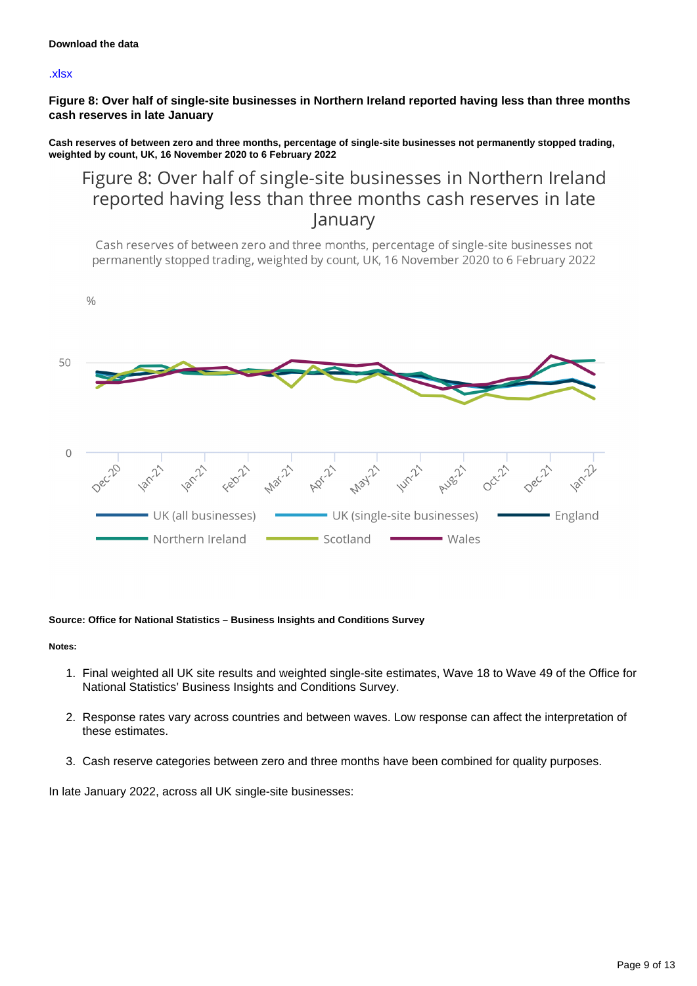#### [.xlsx](https://www.ons.gov.uk/visualisations/dvc1812/fig7/datadownload.xlsx)

**Figure 8: Over half of single-site businesses in Northern Ireland reported having less than three months cash reserves in late January**

**Cash reserves of between zero and three months, percentage of single-site businesses not permanently stopped trading, weighted by count, UK, 16 November 2020 to 6 February 2022**

## Figure 8: Over half of single-site businesses in Northern Ireland reported having less than three months cash reserves in late January

Cash reserves of between zero and three months, percentage of single-site businesses not permanently stopped trading, weighted by count, UK, 16 November 2020 to 6 February 2022



#### **Source: Office for National Statistics – Business Insights and Conditions Survey**

#### **Notes:**

- 1. Final weighted all UK site results and weighted single-site estimates, Wave 18 to Wave 49 of the Office for National Statistics' Business Insights and Conditions Survey.
- 2. Response rates vary across countries and between waves. Low response can affect the interpretation of these estimates.
- 3. Cash reserve categories between zero and three months have been combined for quality purposes.

In late January 2022, across all UK single-site businesses: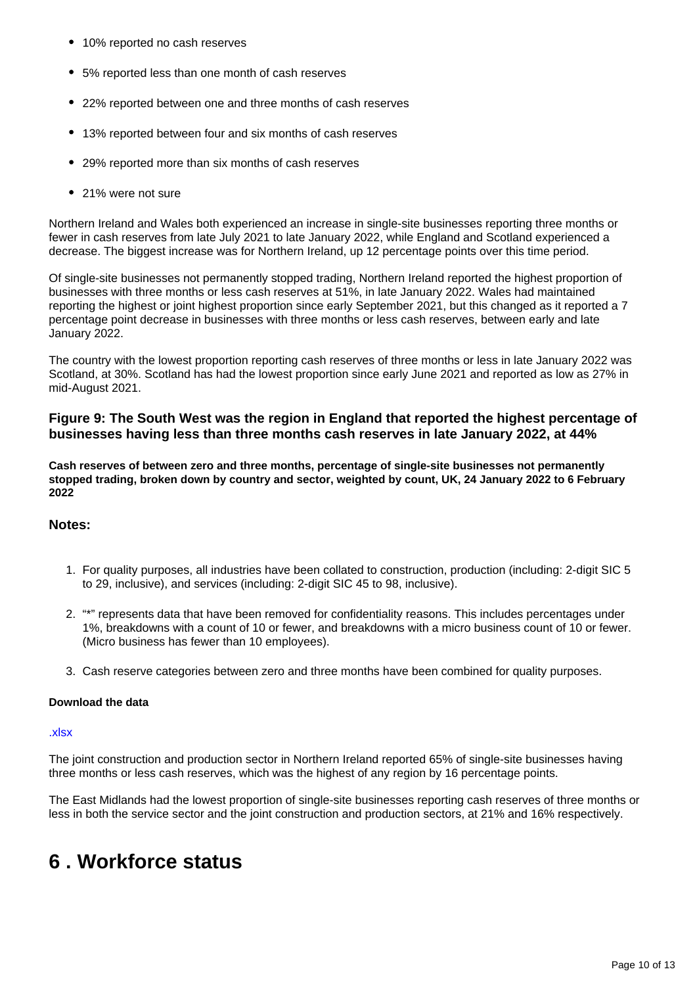- 10% reported no cash reserves
- 5% reported less than one month of cash reserves
- 22% reported between one and three months of cash reserves
- 13% reported between four and six months of cash reserves
- 29% reported more than six months of cash reserves
- 21% were not sure

Northern Ireland and Wales both experienced an increase in single-site businesses reporting three months or fewer in cash reserves from late July 2021 to late January 2022, while England and Scotland experienced a decrease. The biggest increase was for Northern Ireland, up 12 percentage points over this time period.

Of single-site businesses not permanently stopped trading, Northern Ireland reported the highest proportion of businesses with three months or less cash reserves at 51%, in late January 2022. Wales had maintained reporting the highest or joint highest proportion since early September 2021, but this changed as it reported a 7 percentage point decrease in businesses with three months or less cash reserves, between early and late January 2022.

The country with the lowest proportion reporting cash reserves of three months or less in late January 2022 was Scotland, at 30%. Scotland has had the lowest proportion since early June 2021 and reported as low as 27% in mid-August 2021.

## **Figure 9: The South West was the region in England that reported the highest percentage of businesses having less than three months cash reserves in late January 2022, at 44%**

**Cash reserves of between zero and three months, percentage of single-site businesses not permanently stopped trading, broken down by country and sector, weighted by count, UK, 24 January 2022 to 6 February 2022**

### **Notes:**

- 1. For quality purposes, all industries have been collated to construction, production (including: 2-digit SIC 5 to 29, inclusive), and services (including: 2-digit SIC 45 to 98, inclusive).
- 2. "\*" represents data that have been removed for confidentiality reasons. This includes percentages under 1%, breakdowns with a count of 10 or fewer, and breakdowns with a micro business count of 10 or fewer. (Micro business has fewer than 10 employees).
- 3. Cash reserve categories between zero and three months have been combined for quality purposes.

### **Download the data**

### [.xlsx](https://www.ons.gov.uk/visualisations/dvc1812/fig9/datadownload.xlsx)

The joint construction and production sector in Northern Ireland reported 65% of single-site businesses having three months or less cash reserves, which was the highest of any region by 16 percentage points.

The East Midlands had the lowest proportion of single-site businesses reporting cash reserves of three months or less in both the service sector and the joint construction and production sectors, at 21% and 16% respectively.

## <span id="page-9-0"></span>**6 . Workforce status**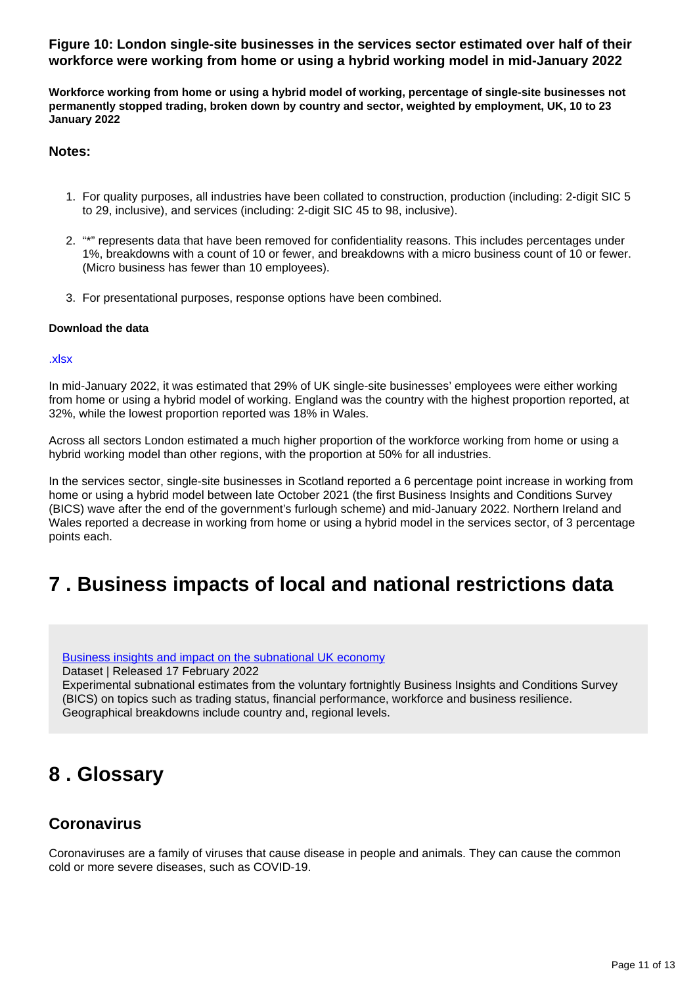## **Figure 10: London single-site businesses in the services sector estimated over half of their workforce were working from home or using a hybrid working model in mid-January 2022**

**Workforce working from home or using a hybrid model of working, percentage of single-site businesses not permanently stopped trading, broken down by country and sector, weighted by employment, UK, 10 to 23 January 2022**

### **Notes:**

- 1. For quality purposes, all industries have been collated to construction, production (including: 2-digit SIC 5 to 29, inclusive), and services (including: 2-digit SIC 45 to 98, inclusive).
- 2. "\*" represents data that have been removed for confidentiality reasons. This includes percentages under 1%, breakdowns with a count of 10 or fewer, and breakdowns with a micro business count of 10 or fewer. (Micro business has fewer than 10 employees).
- 3. For presentational purposes, response options have been combined.

### **Download the data**

### [.xlsx](https://www.ons.gov.uk/visualisations/dvc1812/fig10/datadownload.xlsx)

In mid-January 2022, it was estimated that 29% of UK single-site businesses' employees were either working from home or using a hybrid model of working. England was the country with the highest proportion reported, at 32%, while the lowest proportion reported was 18% in Wales.

Across all sectors London estimated a much higher proportion of the workforce working from home or using a hybrid working model than other regions, with the proportion at 50% for all industries.

In the services sector, single-site businesses in Scotland reported a 6 percentage point increase in working from home or using a hybrid model between late October 2021 (the first Business Insights and Conditions Survey (BICS) wave after the end of the government's furlough scheme) and mid-January 2022. Northern Ireland and Wales reported a decrease in working from home or using a hybrid model in the services sector, of 3 percentage points each.

## <span id="page-10-0"></span>**7 . Business impacts of local and national restrictions data**

### [Business insights and impact on the subnational UK economy](https://www.ons.gov.uk/economy/economicoutputandproductivity/output/datasets/businessinsightsandimpactonthesubnationalukeconomy)

Dataset | Released 17 February 2022

Experimental subnational estimates from the voluntary fortnightly Business Insights and Conditions Survey (BICS) on topics such as trading status, financial performance, workforce and business resilience. Geographical breakdowns include country and, regional levels.

## <span id="page-10-1"></span>**8 . Glossary**

## **Coronavirus**

Coronaviruses are a family of viruses that cause disease in people and animals. They can cause the common cold or more severe diseases, such as COVID-19.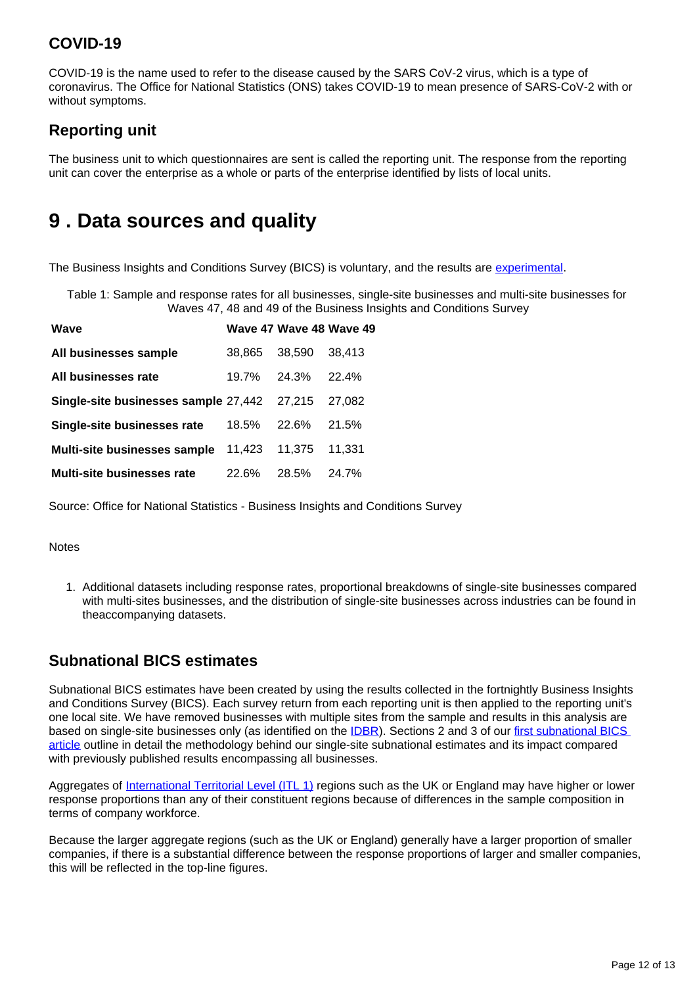## **COVID-19**

COVID-19 is the name used to refer to the disease caused by the SARS CoV-2 virus, which is a type of coronavirus. The Office for National Statistics (ONS) takes COVID-19 to mean presence of SARS-CoV-2 with or without symptoms.

## **Reporting unit**

The business unit to which questionnaires are sent is called the reporting unit. The response from the reporting unit can cover the enterprise as a whole or parts of the enterprise identified by lists of local units.

## <span id="page-11-0"></span>**9 . Data sources and quality**

The Business Insights and Conditions Survey (BICS) is voluntary, and the results are [experimental](https://www.ons.gov.uk/methodology/methodologytopicsandstatisticalconcepts/guidetoexperimentalstatistics).

Table 1: Sample and response rates for all businesses, single-site businesses and multi-site businesses for Waves 47, 48 and 49 of the Business Insights and Conditions Survey

| Wave                                        |        | Wave 47 Wave 48 Wave 49 |        |
|---------------------------------------------|--------|-------------------------|--------|
| All businesses sample                       | 38.865 | 38,590                  | 38.413 |
| All businesses rate                         |        | 19.7% 24.3% 22.4%       |        |
| Single-site businesses sample 27,442 27,215 |        |                         | 27.082 |
| Single-site businesses rate                 |        | 18.5% 22.6%             | 21.5%  |
| Multi-site businesses sample                | 11.423 | 11,375                  | 11.331 |
| <b>Multi-site businesses rate</b>           | 22.6%  | 28.5%                   | 24.7%  |

Source: Office for National Statistics - Business Insights and Conditions Survey

### **Notes**

1. Additional datasets including response rates, proportional breakdowns of single-site businesses compared with multi-sites businesses, and the distribution of single-site businesses across industries can be found in theaccompanying datasets.

## **Subnational BICS estimates**

Subnational BICS estimates have been created by using the results collected in the fortnightly Business Insights and Conditions Survey (BICS). Each survey return from each reporting unit is then applied to the reporting unit's one local site. We have removed businesses with multiple sites from the sample and results in this analysis are based on single-site businesses only (as identified on the **[IDBR\)](https://www.ons.gov.uk/aboutus/whatwedo/paidservices/interdepartmentalbusinessregisteridbr)**. Sections 2 and 3 of our first subnational BICS [article](https://www.ons.gov.uk/businessindustryandtrade/business/businessservices/articles/businessinsightsandimpactontheukandsubnationaleconomy/2020-12-09) outline in detail the methodology behind our single-site subnational estimates and its impact compared with previously published results encompassing all businesses.

Aggregates of [International Territorial Level \(ITL 1\)](https://geoportal.statistics.gov.uk/datasets/international-territorial-levels-level-1-january-2021-names-and-codes-in-the-united-kingdom/explore) regions such as the UK or England may have higher or lower response proportions than any of their constituent regions because of differences in the sample composition in terms of company workforce.

Because the larger aggregate regions (such as the UK or England) generally have a larger proportion of smaller companies, if there is a substantial difference between the response proportions of larger and smaller companies, this will be reflected in the top-line figures.